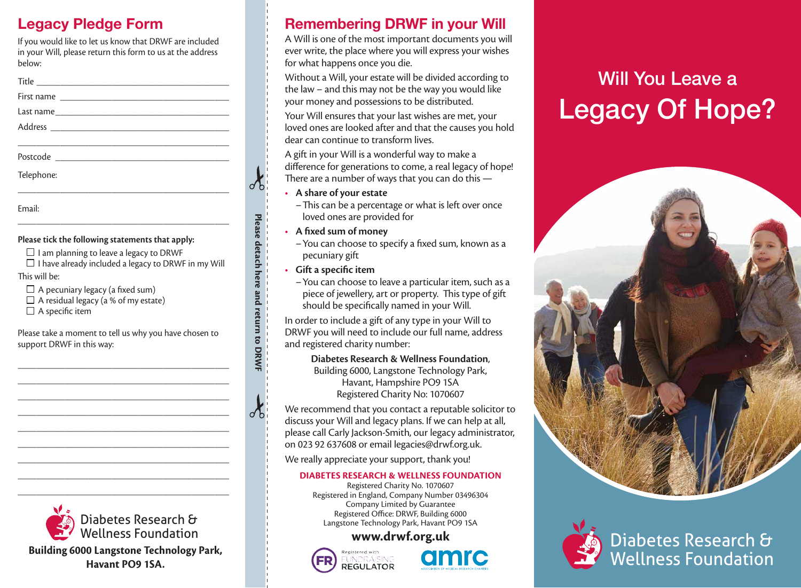# **Legacy Pledge Form**

If you would like to let us know that DRWF are included in your Will, please return this form to us at the address below:

| Telephone: |  |
|------------|--|
|            |  |
|            |  |

Email:

## **Please tick the following statements that apply:**

- $\Box$  I am planning to leave a legacy to DRWF
- $\Box$  I have already included a legacy to DRWF in my Will

\_\_\_\_\_\_\_\_\_\_\_\_\_\_\_\_\_\_\_\_\_\_\_\_\_\_\_\_\_\_\_\_\_\_\_\_\_\_\_\_\_\_\_\_\_

## This will be:

- $\Box$  A pecuniary legacy (a fixed sum)
- $\Box$  A residual legacy (a % of my estate)
- $\Box$  A specific item

Please take a moment to tell us why you have chosen to support DRWF in this way:

\_\_\_\_\_\_\_\_\_\_\_\_\_\_\_\_\_\_\_\_\_\_\_\_\_\_\_\_\_\_\_\_\_\_\_\_\_\_\_\_\_\_\_\_\_ \_\_\_\_\_\_\_\_\_\_\_\_\_\_\_\_\_\_\_\_\_\_\_\_\_\_\_\_\_\_\_\_\_\_\_\_\_\_\_\_\_\_\_\_\_ \_\_\_\_\_\_\_\_\_\_\_\_\_\_\_\_\_\_\_\_\_\_\_\_\_\_\_\_\_\_\_\_\_\_\_\_\_\_\_\_\_\_\_\_\_ \_\_\_\_\_\_\_\_\_\_\_\_\_\_\_\_\_\_\_\_\_\_\_\_\_\_\_\_\_\_\_\_\_\_\_\_\_\_\_\_\_\_\_\_\_ \_\_\_\_\_\_\_\_\_\_\_\_\_\_\_\_\_\_\_\_\_\_\_\_\_\_\_\_\_\_\_\_\_\_\_\_\_\_\_\_\_\_\_\_\_ \_\_\_\_\_\_\_\_\_\_\_\_\_\_\_\_\_\_\_\_\_\_\_\_\_\_\_\_\_\_\_\_\_\_\_\_\_\_\_\_\_\_\_\_\_ \_\_\_\_\_\_\_\_\_\_\_\_\_\_\_\_\_\_\_\_\_\_\_\_\_\_\_\_\_\_\_\_\_\_\_\_\_\_\_\_\_\_\_\_\_ \_\_\_\_\_\_\_\_\_\_\_\_\_\_\_\_\_\_\_\_\_\_\_\_\_\_\_\_\_\_\_\_\_\_\_\_\_\_\_\_\_\_\_\_\_ \_\_\_\_\_\_\_\_\_\_\_\_\_\_\_\_\_\_\_\_\_\_\_\_\_\_\_\_\_\_\_\_\_\_\_\_\_\_\_\_\_\_\_\_\_



**Building 6000 Langstone Technology Park, Havant PO9 1SA.**

# **Remembering DRWF in your Will**

A Will is one of the most important documents you will ever write, the place where you will express your wishes for what happens once you die.

Without a Will, your estate will be divided according to the law – and this may not be the way you would like your money and possessions to be distributed.

Your Will ensures that your last wishes are met, your loved ones are looked after and that the causes you hold dear can continue to transform lives.

A gift in your Will is a wonderful way to make a difference for generations to come, a real legacy of hope! There are a number of ways that you can do this —

• **A share of your estate** 

–This can be a percentage or what is left over once loved ones are provided for

• **A fixed sum of money**

–You can choose to specify a fixed sum, known as a pecuniary gift

• **Gift a specific item**

**Please detach here and return to DRWF**

Please detach here and return to DRWF

–You can choose to leave a particular item, such as a piece of jewellery, art or property. This type of gift should be specifically named in your Will.

In order to include a gift of any type in your Will to DRWF you will need to include our full name, address and registered charity number:

> **Diabetes Research & Wellness Foundation**, Building 6000, Langstone Technology Park, Havant, Hampshire PO9 1SA Registered Charity No: 1070607

We recommend that you contact a reputable solicitor to discuss your Will and legacy plans. If we can help at all, please call Carly Jackson-Smith, our legacy administrator, on 023 92 637608 or email legacies@drwf.org.uk.

We really appreciate your support, thank you!

## **DIABETES RESEARCH & WELLNESS FOUNDATION**

Registered Charity No. 1070607 Registered in England, Company Number 03496304 Company Limited by Guarantee Registered Office: DRWF, Building 6000 Langstone Technology Park, Havant PO9 1SA

## **www.drwf.org.uk**





# Will You Leave a Legacy Of Hope?



Diabetes Research & Wellness Foundation